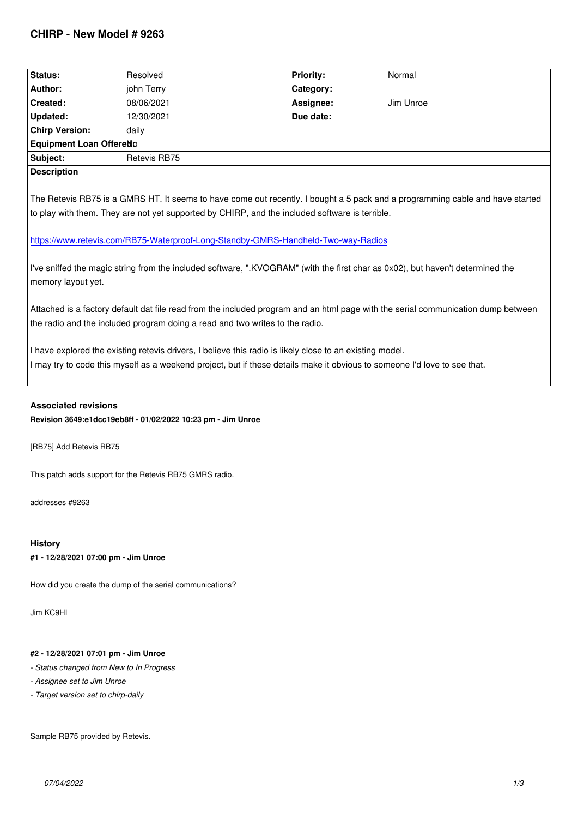| Status:                                                                                                                                                                                                           | Resolved                                                                                                                  | <b>Priority:</b> | Normal                                                                                                                        |  |  |
|-------------------------------------------------------------------------------------------------------------------------------------------------------------------------------------------------------------------|---------------------------------------------------------------------------------------------------------------------------|------------------|-------------------------------------------------------------------------------------------------------------------------------|--|--|
| Author:                                                                                                                                                                                                           | john Terry                                                                                                                | Category:        |                                                                                                                               |  |  |
| Created:                                                                                                                                                                                                          | 08/06/2021                                                                                                                | Assignee:        | Jim Unroe                                                                                                                     |  |  |
| Updated:                                                                                                                                                                                                          | 12/30/2021                                                                                                                | Due date:        |                                                                                                                               |  |  |
| <b>Chirp Version:</b>                                                                                                                                                                                             | daily                                                                                                                     |                  |                                                                                                                               |  |  |
| Equipment Loan Offered D                                                                                                                                                                                          |                                                                                                                           |                  |                                                                                                                               |  |  |
| Subject:                                                                                                                                                                                                          | Retevis RB75                                                                                                              |                  |                                                                                                                               |  |  |
| <b>Description</b>                                                                                                                                                                                                |                                                                                                                           |                  |                                                                                                                               |  |  |
|                                                                                                                                                                                                                   |                                                                                                                           |                  | The Retevis RB75 is a GMRS HT. It seems to have come out recently. I bought a 5 pack and a programming cable and have started |  |  |
|                                                                                                                                                                                                                   |                                                                                                                           |                  |                                                                                                                               |  |  |
|                                                                                                                                                                                                                   | to play with them. They are not yet supported by CHIRP, and the included software is terrible.                            |                  |                                                                                                                               |  |  |
|                                                                                                                                                                                                                   |                                                                                                                           |                  |                                                                                                                               |  |  |
| https://www.retevis.com/RB75-Waterproof-Long-Standby-GMRS-Handheld-Two-way-Radios                                                                                                                                 |                                                                                                                           |                  |                                                                                                                               |  |  |
|                                                                                                                                                                                                                   |                                                                                                                           |                  |                                                                                                                               |  |  |
| I've sniffed the magic string from the included software, ".KVOGRAM" (with the first char as 0x02), but haven't determined the<br>memory layout yet.                                                              |                                                                                                                           |                  |                                                                                                                               |  |  |
|                                                                                                                                                                                                                   |                                                                                                                           |                  |                                                                                                                               |  |  |
|                                                                                                                                                                                                                   |                                                                                                                           |                  |                                                                                                                               |  |  |
| Attached is a factory default dat file read from the included program and an html page with the serial communication dump between<br>the radio and the included program doing a read and two writes to the radio. |                                                                                                                           |                  |                                                                                                                               |  |  |
|                                                                                                                                                                                                                   |                                                                                                                           |                  |                                                                                                                               |  |  |
|                                                                                                                                                                                                                   | I have explored the existing retevis drivers, I believe this radio is likely close to an existing model.                  |                  |                                                                                                                               |  |  |
|                                                                                                                                                                                                                   | I may try to code this myself as a weekend project, but if these details make it obvious to someone I'd love to see that. |                  |                                                                                                                               |  |  |
|                                                                                                                                                                                                                   |                                                                                                                           |                  |                                                                                                                               |  |  |
|                                                                                                                                                                                                                   |                                                                                                                           |                  |                                                                                                                               |  |  |

# **Associated revisions**

**Revision 3649:e1dcc19eb8ff - 01/02/2022 10:23 pm - Jim Unroe** 

*[RB75] Add Retevis RB75*

*This patch adds support for the Retevis RB75 GMRS radio.*

*addresses #9263*

#### **History**

**#1 - 12/28/2021 07:00 pm - Jim Unroe**

*How did you create the dump of the serial communications?*

*Jim KC9HI*

# **#2 - 12/28/2021 07:01 pm - Jim Unroe**

- *Status changed from New to In Progress*
- *Assignee set to Jim Unroe*
- *Target version set to chirp-daily*

*Sample RB75 provided by Retevis.*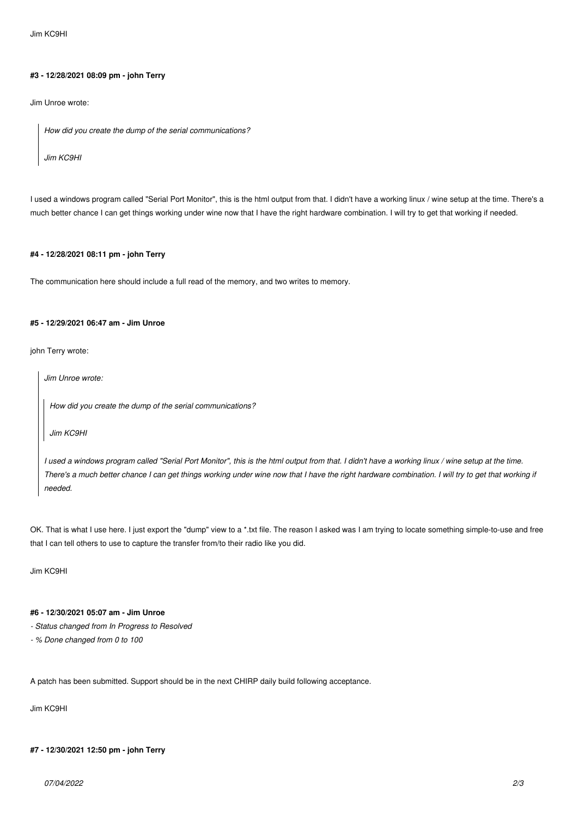*Jim KC9HI*

#### **#3 - 12/28/2021 08:09 pm - john Terry**

*Jim Unroe wrote:*

*How did you create the dump of the serial communications?*

*Jim KC9HI*

*I used a windows program called "Serial Port Monitor", this is the html output from that. I didn't have a working linux / wine setup at the time. There's a much better chance I can get things working under wine now that I have the right hardware combination. I will try to get that working if needed.*

### **#4 - 12/28/2021 08:11 pm - john Terry**

*The communication here should include a full read of the memory, and two writes to memory.*

### **#5 - 12/29/2021 06:47 am - Jim Unroe**

*john Terry wrote:*

*Jim Unroe wrote:*

*How did you create the dump of the serial communications?*

*Jim KC9HI*

*I used a windows program called "Serial Port Monitor", this is the html output from that. I didn't have a working linux / wine setup at the time. There's a much better chance I can get things working under wine now that I have the right hardware combination. I will try to get that working if needed.*

*OK. That is what I use here. I just export the "dump" view to a \*.txt file. The reason I asked was I am trying to locate something simple-to-use and free that I can tell others to use to capture the transfer from/to their radio like you did.*

*Jim KC9HI*

# **#6 - 12/30/2021 05:07 am - Jim Unroe**

- *Status changed from In Progress to Resolved*
- *% Done changed from 0 to 100*

*A patch has been submitted. Support should be in the next CHIRP daily build following acceptance.*

*Jim KC9HI*

# **#7 - 12/30/2021 12:50 pm - john Terry**